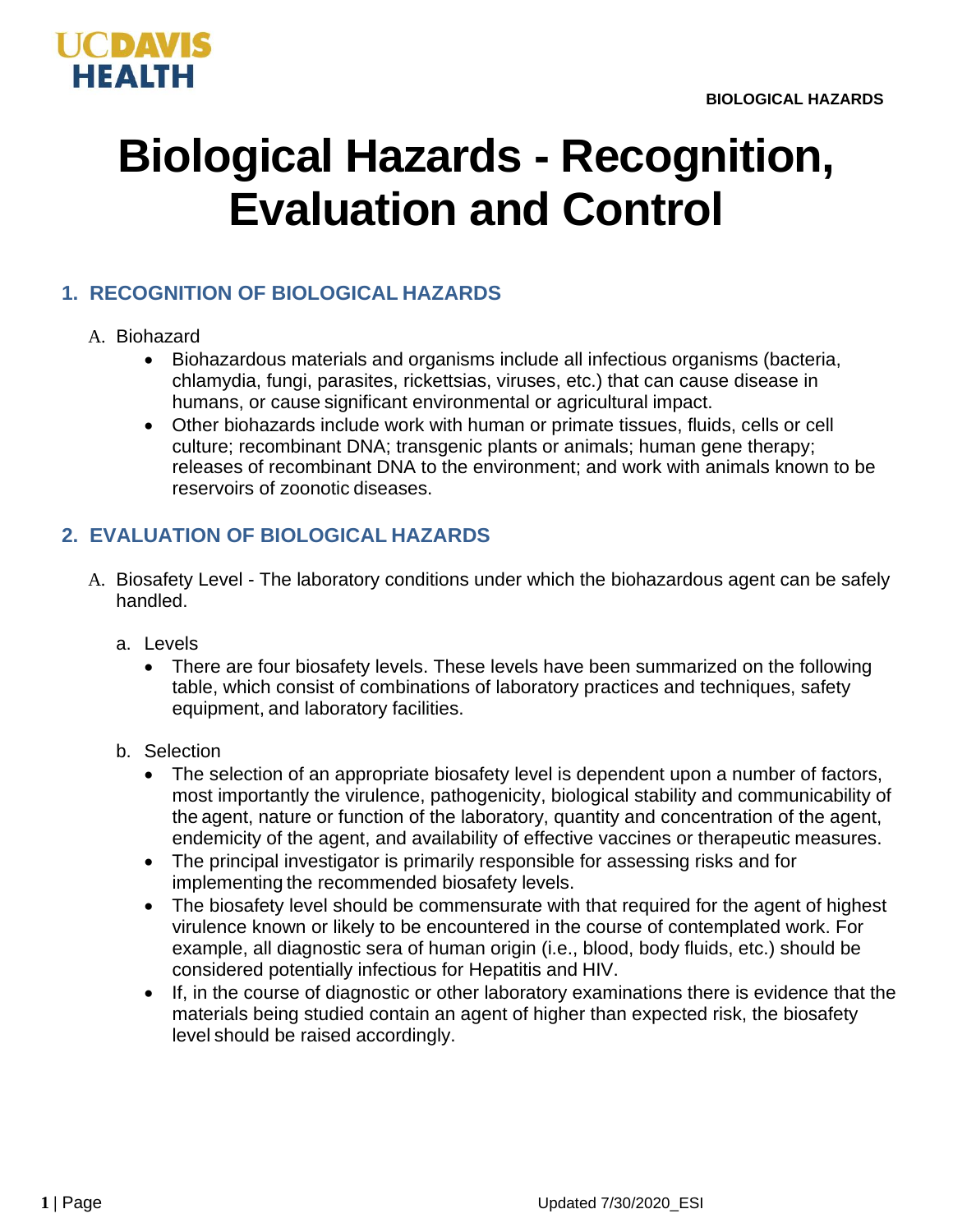

# **Biological Hazards - Recognition, Evaluation and Control**

## **1. RECOGNITION OF BIOLOGICAL HAZARDS**

#### A. Biohazard

- Biohazardous materials and organisms include all infectious organisms (bacteria, chlamydia, fungi, parasites, rickettsias, viruses, etc.) that can cause disease in humans, or cause significant environmental or agricultural impact.
- Other biohazards include work with human or primate tissues, fluids, cells or cell culture; recombinant DNA; transgenic plants or animals; human gene therapy; releases of recombinant DNA to the environment; and work with animals known to be reservoirs of zoonotic diseases.

#### **2. EVALUATION OF BIOLOGICAL HAZARDS**

- A. Biosafety Level The laboratory conditions under which the biohazardous agent can be safely handled.
	- a. Levels
		- There are four biosafety levels. These levels have been summarized on the following table, which consist of combinations of laboratory practices and techniques, safety equipment, and laboratory facilities.
	- b. Selection
		- The selection of an appropriate biosafety level is dependent upon a number of factors, most importantly the virulence, pathogenicity, biological stability and communicability of the agent, nature or function of the laboratory, quantity and concentration of the agent, endemicity of the agent, and availability of effective vaccines or therapeutic measures.
		- The principal investigator is primarily responsible for assessing risks and for implementing the recommended biosafety levels.
		- The biosafety level should be commensurate with that required for the agent of highest virulence known or likely to be encountered in the course of contemplated work. For example, all diagnostic sera of human origin (i.e., blood, body fluids, etc.) should be considered potentially infectious for Hepatitis and HIV.
		- If, in the course of diagnostic or other laboratory examinations there is evidence that the materials being studied contain an agent of higher than expected risk, the biosafety level should be raised accordingly.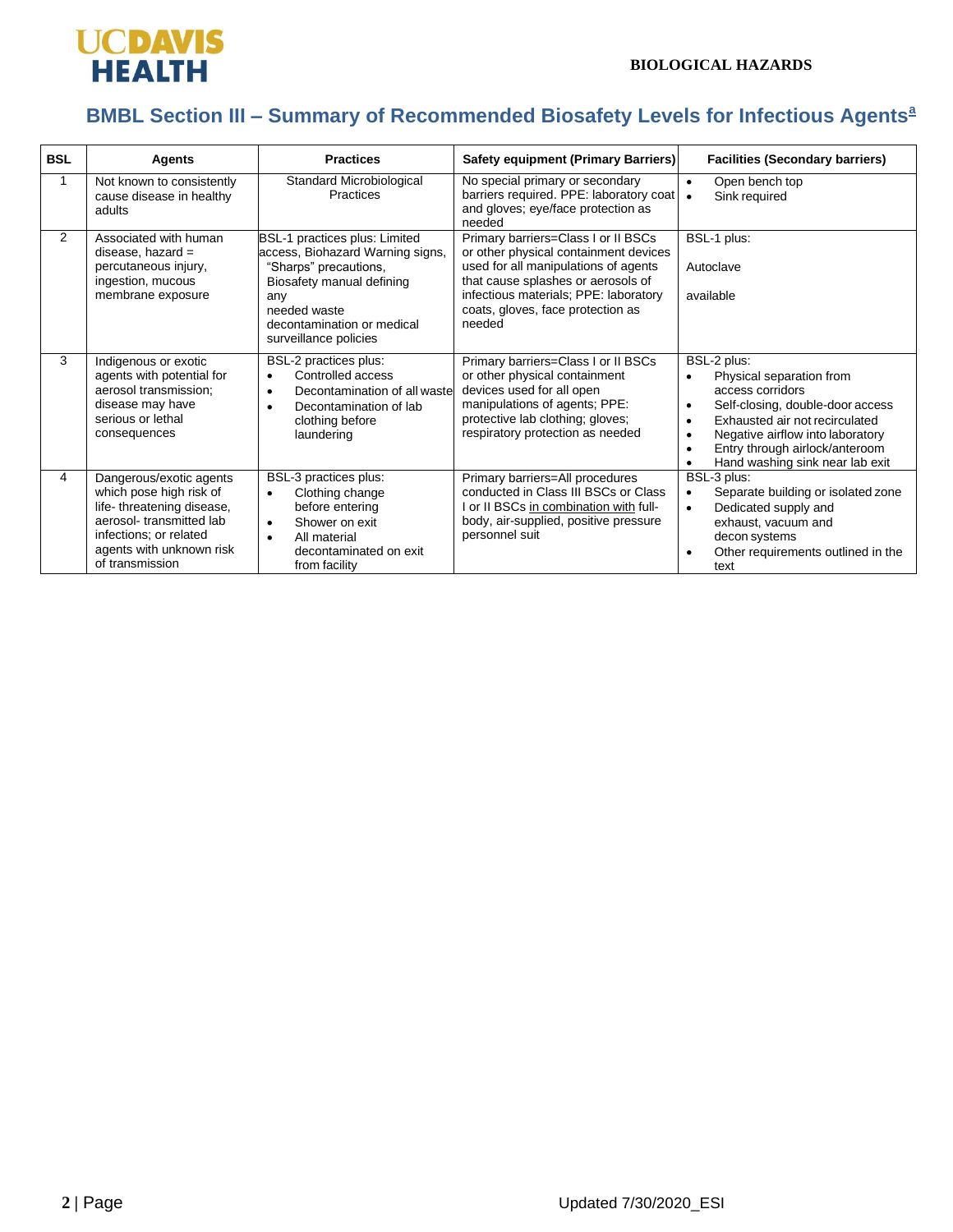

# **BMBL Section III – Summary of Recommended Biosafety Levels for Infectious Agents<sup>a</sup>**

| <b>BSL</b>     | Agents                                                                                                                                                                              | <b>Practices</b>                                                                                                                                                                                      | <b>Safety equipment (Primary Barriers)</b>                                                                                                                                                                                                         | <b>Facilities (Secondary barriers)</b>                                                                                                                                                                                                                                                                      |
|----------------|-------------------------------------------------------------------------------------------------------------------------------------------------------------------------------------|-------------------------------------------------------------------------------------------------------------------------------------------------------------------------------------------------------|----------------------------------------------------------------------------------------------------------------------------------------------------------------------------------------------------------------------------------------------------|-------------------------------------------------------------------------------------------------------------------------------------------------------------------------------------------------------------------------------------------------------------------------------------------------------------|
| $\mathbf{1}$   | Not known to consistently<br>cause disease in healthy<br>adults                                                                                                                     | Standard Microbiological<br>Practices                                                                                                                                                                 | No special primary or secondary<br>barriers required. PPE: laboratory coat<br>and gloves; eye/face protection as<br>needed                                                                                                                         | Open bench top<br>$\bullet$<br>Sink required<br>$\bullet$                                                                                                                                                                                                                                                   |
| $\overline{2}$ | Associated with human<br>disease, hazard $=$<br>percutaneous injury,<br>ingestion, mucous<br>membrane exposure                                                                      | BSL-1 practices plus: Limited<br>access, Biohazard Warning signs,<br>"Sharps" precautions,<br>Biosafety manual defining<br>any<br>needed waste<br>decontamination or medical<br>surveillance policies | Primary barriers=Class I or II BSCs<br>or other physical containment devices<br>used for all manipulations of agents<br>that cause splashes or aerosols of<br>infectious materials; PPE: laboratory<br>coats, gloves, face protection as<br>needed | BSL-1 plus:<br>Autoclave<br>available                                                                                                                                                                                                                                                                       |
| 3              | Indigenous or exotic<br>agents with potential for<br>aerosol transmission:<br>disease may have<br>serious or lethal<br>consequences                                                 | BSL-2 practices plus:<br>Controlled access<br>$\bullet$<br>Decontamination of all waste<br>$\bullet$<br>Decontamination of lab<br>$\bullet$<br>clothing before<br>laundering                          | Primary barriers=Class I or II BSCs<br>or other physical containment<br>devices used for all open<br>manipulations of agents; PPE:<br>protective lab clothing; gloves;<br>respiratory protection as needed                                         | BSL-2 plus:<br>Physical separation from<br>$\bullet$<br>access corridors<br>Self-closing, double-door access<br>$\bullet$<br>Exhausted air not recirculated<br>$\bullet$<br>Negative airflow into laboratory<br>$\bullet$<br>Entry through airlock/anteroom<br>$\bullet$<br>Hand washing sink near lab exit |
| 4              | Dangerous/exotic agents<br>which pose high risk of<br>life-threatening disease,<br>aerosol-transmitted lab<br>infections; or related<br>agents with unknown risk<br>of transmission | BSL-3 practices plus:<br>Clothing change<br>$\bullet$<br>before entering<br>Shower on exit<br>$\bullet$<br>All material<br>$\bullet$<br>decontaminated on exit<br>from facility                       | Primary barriers=All procedures<br>conducted in Class III BSCs or Class<br>I or II BSCs in combination with full-<br>body, air-supplied, positive pressure<br>personnel suit                                                                       | BSL-3 plus:<br>Separate building or isolated zone<br>$\bullet$<br>Dedicated supply and<br>$\bullet$<br>exhaust, vacuum and<br>decon systems<br>Other requirements outlined in the<br>text                                                                                                                   |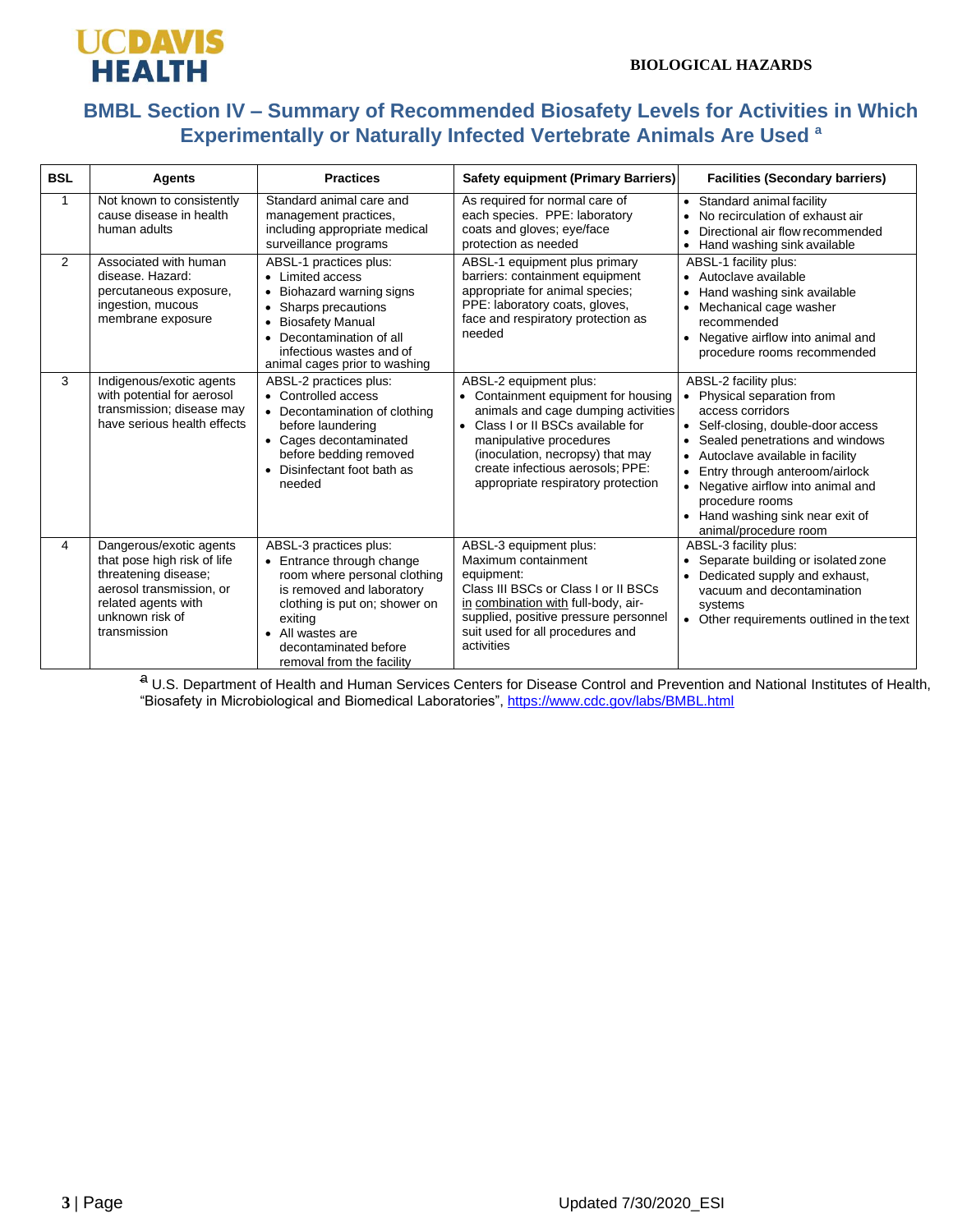

### **BMBL Section IV – Summary of Recommended Biosafety Levels for Activities in Which Experimentally or Naturally Infected Vertebrate Animals Are Used <sup>a</sup>**

| <b>BSL</b>     | <b>Agents</b>                                                                                                                                                        | <b>Practices</b>                                                                                                                                                                                                                     | <b>Safety equipment (Primary Barriers)</b>                                                                                                                                                                                                                                        | <b>Facilities (Secondary barriers)</b>                                                                                                                                                                                                                                                                                                               |
|----------------|----------------------------------------------------------------------------------------------------------------------------------------------------------------------|--------------------------------------------------------------------------------------------------------------------------------------------------------------------------------------------------------------------------------------|-----------------------------------------------------------------------------------------------------------------------------------------------------------------------------------------------------------------------------------------------------------------------------------|------------------------------------------------------------------------------------------------------------------------------------------------------------------------------------------------------------------------------------------------------------------------------------------------------------------------------------------------------|
| $\mathbf{1}$   | Not known to consistently<br>cause disease in health<br>human adults                                                                                                 | Standard animal care and<br>management practices,<br>including appropriate medical<br>surveillance programs                                                                                                                          | As required for normal care of<br>each species. PPE: laboratory<br>coats and gloves; eye/face<br>protection as needed                                                                                                                                                             | Standard animal facility<br>$\bullet$<br>No recirculation of exhaust air<br>Directional air flow recommended<br>$\bullet$<br>• Hand washing sink available                                                                                                                                                                                           |
| $\overline{2}$ | Associated with human<br>disease. Hazard:<br>percutaneous exposure,<br>ingestion, mucous<br>membrane exposure                                                        | ABSL-1 practices plus:<br>• Limited access<br>Biohazard warning signs<br>Sharps precautions<br><b>Biosafety Manual</b><br>$\bullet$<br>Decontamination of all<br>infectious wastes and of<br>animal cages prior to washing           | ABSL-1 equipment plus primary<br>barriers: containment equipment<br>appropriate for animal species;<br>PPE: laboratory coats, gloves,<br>face and respiratory protection as<br>needed                                                                                             | ABSL-1 facility plus:<br>• Autoclave available<br>Hand washing sink available<br>• Mechanical cage washer<br>recommended<br>Negative airflow into animal and<br>$\bullet$<br>procedure rooms recommended                                                                                                                                             |
| 3              | Indigenous/exotic agents<br>with potential for aerosol<br>transmission; disease may<br>have serious health effects                                                   | ABSL-2 practices plus:<br>• Controlled access<br>Decontamination of clothing<br>before laundering<br>• Cages decontaminated<br>before bedding removed<br>Disinfectant foot bath as<br>needed                                         | ABSL-2 equipment plus:<br>• Containment equipment for housing<br>animals and cage dumping activities<br>Class I or II BSCs available for<br>manipulative procedures<br>(inoculation, necropsy) that may<br>create infectious aerosols; PPE:<br>appropriate respiratory protection | ABSL-2 facility plus:<br>Physical separation from<br>access corridors<br>• Self-closing, double-door access<br>Sealed penetrations and windows<br>Autoclave available in facility<br>Entry through anteroom/airlock<br>Negative airflow into animal and<br>$\bullet$<br>procedure rooms<br>• Hand washing sink near exit of<br>animal/procedure room |
| 4              | Dangerous/exotic agents<br>that pose high risk of life<br>threatening disease;<br>aerosol transmission, or<br>related agents with<br>unknown risk of<br>transmission | ABSL-3 practices plus:<br>• Entrance through change<br>room where personal clothing<br>is removed and laboratory<br>clothing is put on; shower on<br>exiting<br>All wastes are<br>decontaminated before<br>removal from the facility | ABSL-3 equipment plus:<br>Maximum containment<br>equipment:<br>Class III BSCs or Class I or II BSCs<br>in combination with full-body, air-<br>supplied, positive pressure personnel<br>suit used for all procedures and<br>activities                                             | ABSL-3 facility plus:<br>• Separate building or isolated zone<br>Dedicated supply and exhaust,<br>vacuum and decontamination<br>systems<br>• Other requirements outlined in the text                                                                                                                                                                 |

a<br><sup>a</sup> U.S. Department of Health and Human Services Centers for Disease Control and Prevention and National Institutes of Health, "Biosafety in Microbiological and Biomedical Laboratories",<https://www.cdc.gov/labs/BMBL.html>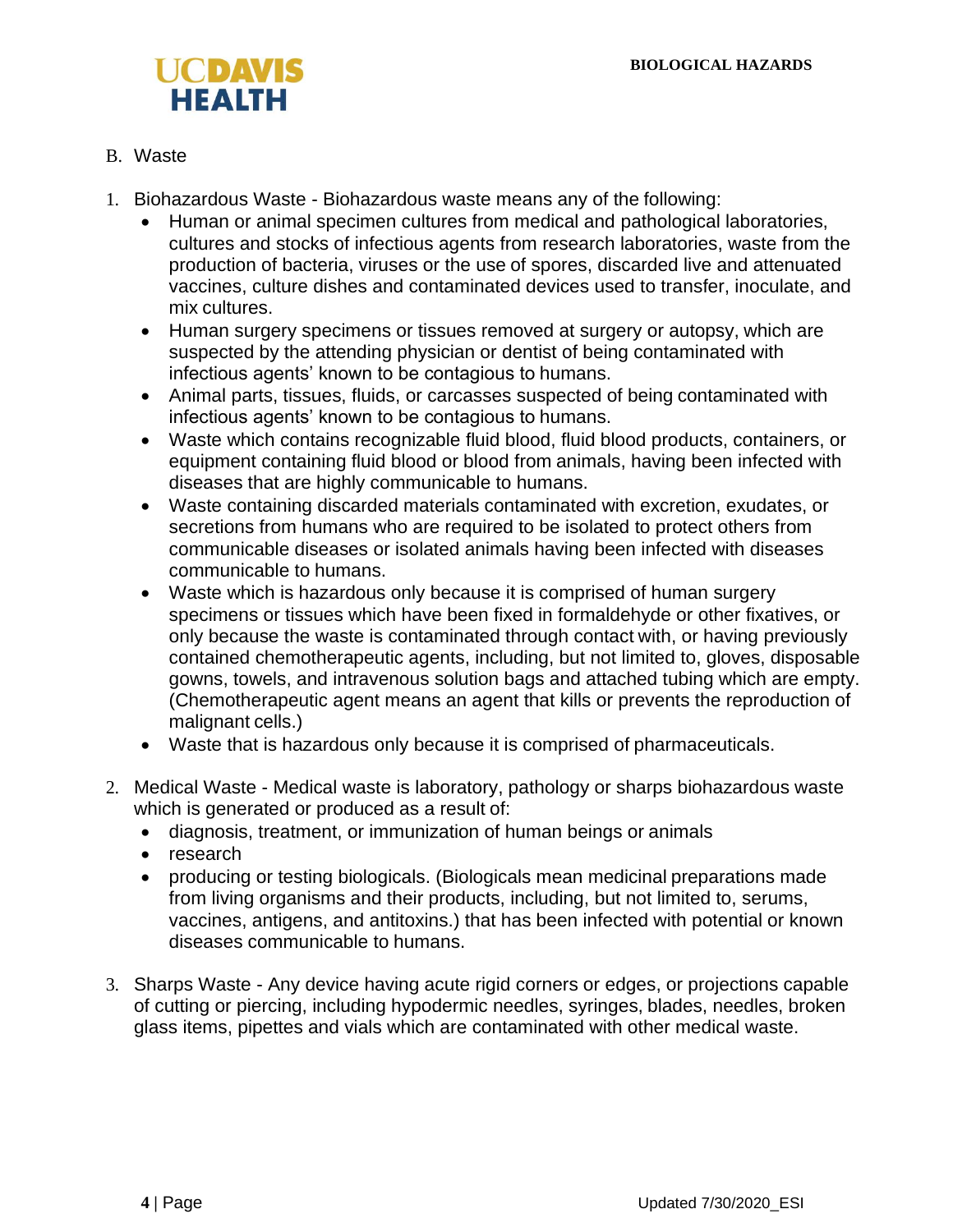

#### B. Waste

- 1. Biohazardous Waste Biohazardous waste means any of the following:
	- Human or animal specimen cultures from medical and pathological laboratories, cultures and stocks of infectious agents from research laboratories, waste from the production of bacteria, viruses or the use of spores, discarded live and attenuated vaccines, culture dishes and contaminated devices used to transfer, inoculate, and mix cultures.
	- Human surgery specimens or tissues removed at surgery or autopsy, which are suspected by the attending physician or dentist of being contaminated with infectious agents' known to be contagious to humans.
	- Animal parts, tissues, fluids, or carcasses suspected of being contaminated with infectious agents' known to be contagious to humans.
	- Waste which contains recognizable fluid blood, fluid blood products, containers, or equipment containing fluid blood or blood from animals, having been infected with diseases that are highly communicable to humans.
	- Waste containing discarded materials contaminated with excretion, exudates, or secretions from humans who are required to be isolated to protect others from communicable diseases or isolated animals having been infected with diseases communicable to humans.
	- Waste which is hazardous only because it is comprised of human surgery specimens or tissues which have been fixed in formaldehyde or other fixatives, or only because the waste is contaminated through contact with, or having previously contained chemotherapeutic agents, including, but not limited to, gloves, disposable gowns, towels, and intravenous solution bags and attached tubing which are empty. (Chemotherapeutic agent means an agent that kills or prevents the reproduction of malignant cells.)
	- Waste that is hazardous only because it is comprised of pharmaceuticals.
- 2. Medical Waste Medical waste is laboratory, pathology or sharps biohazardous waste which is generated or produced as a result of:
	- diagnosis, treatment, or immunization of human beings or animals
	- research
	- producing or testing biologicals. (Biologicals mean medicinal preparations made from living organisms and their products, including, but not limited to, serums, vaccines, antigens, and antitoxins.) that has been infected with potential or known diseases communicable to humans.
- 3. Sharps Waste Any device having acute rigid corners or edges, or projections capable of cutting or piercing, including hypodermic needles, syringes, blades, needles, broken glass items, pipettes and vials which are contaminated with other medical waste.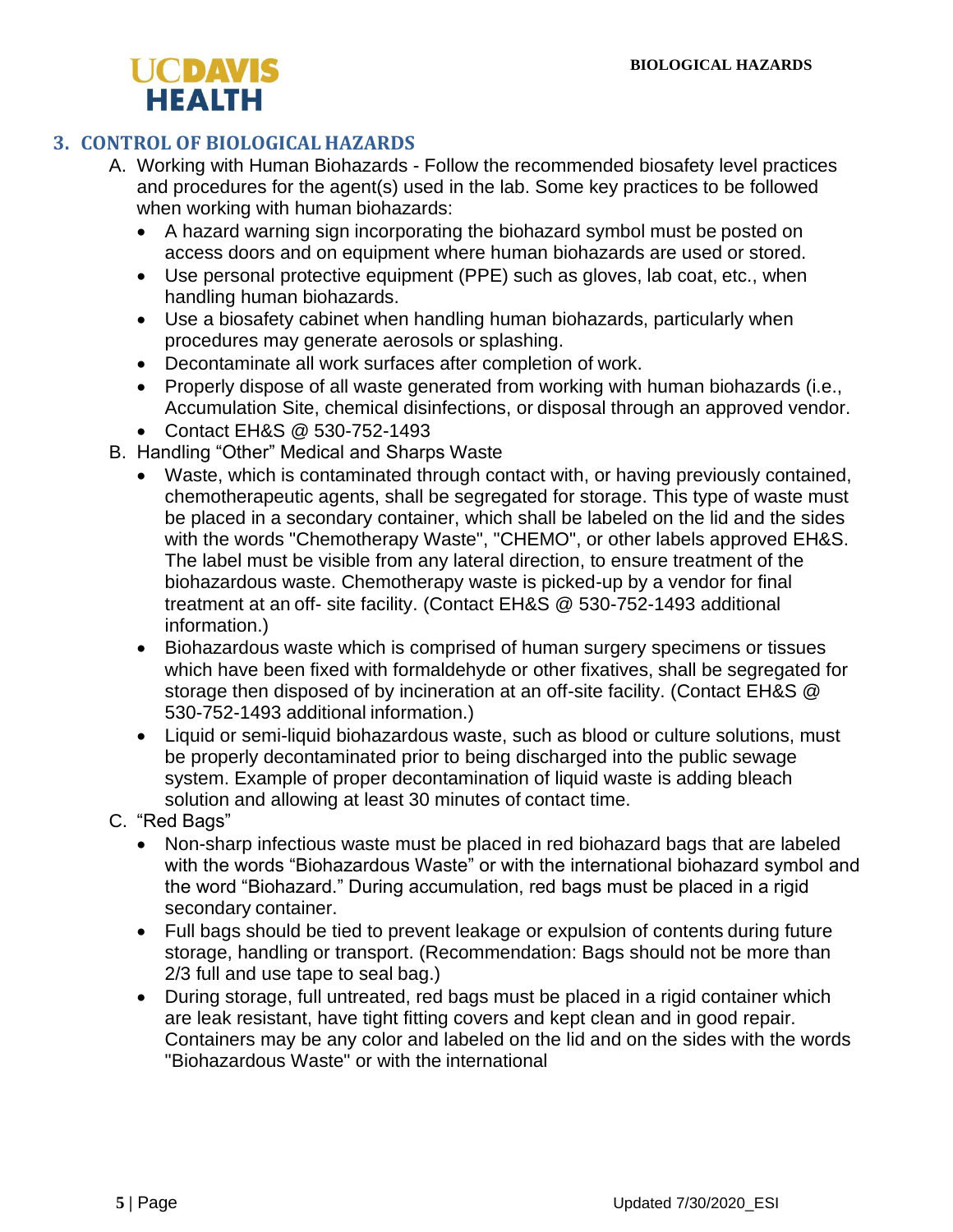

#### **3. CONTROL OF BIOLOGICAL HAZARDS**

- A. Working with Human Biohazards Follow the recommended biosafety level practices and procedures for the agent(s) used in the lab. Some key practices to be followed when working with human biohazards:
	- A hazard warning sign incorporating the biohazard symbol must be posted on access doors and on equipment where human biohazards are used or stored.
	- Use personal protective equipment (PPE) such as gloves, lab coat, etc., when handling human biohazards.
	- Use a biosafety cabinet when handling human biohazards, particularly when procedures may generate aerosols or splashing.
	- Decontaminate all work surfaces after completion of work.
	- Properly dispose of all waste generated from working with human biohazards (i.e., Accumulation Site, chemical disinfections, or disposal through an approved vendor.
	- Contact EH&S @ 530-752-1493
- B. Handling "Other" Medical and Sharps Waste
	- Waste, which is contaminated through contact with, or having previously contained, chemotherapeutic agents, shall be segregated for storage. This type of waste must be placed in a secondary container, which shall be labeled on the lid and the sides with the words "Chemotherapy Waste", "CHEMO", or other labels approved EH&S. The label must be visible from any lateral direction, to ensure treatment of the biohazardous waste. Chemotherapy waste is picked-up by a vendor for final treatment at an off- site facility. (Contact EH&S @ 530-752-1493 additional information.)
	- Biohazardous waste which is comprised of human surgery specimens or tissues which have been fixed with formaldehyde or other fixatives, shall be segregated for storage then disposed of by incineration at an off-site facility. (Contact EH&S @ 530-752-1493 additional information.)
	- Liquid or semi-liquid biohazardous waste, such as blood or culture solutions, must be properly decontaminated prior to being discharged into the public sewage system. Example of proper decontamination of liquid waste is adding bleach solution and allowing at least 30 minutes of contact time.
- C. "Red Bags"
	- Non-sharp infectious waste must be placed in red biohazard bags that are labeled with the words "Biohazardous Waste" or with the international biohazard symbol and the word "Biohazard." During accumulation, red bags must be placed in a rigid secondary container.
	- Full bags should be tied to prevent leakage or expulsion of contents during future storage, handling or transport. (Recommendation: Bags should not be more than 2/3 full and use tape to seal bag.)
	- During storage, full untreated, red bags must be placed in a rigid container which are leak resistant, have tight fitting covers and kept clean and in good repair. Containers may be any color and labeled on the lid and on the sides with the words "Biohazardous Waste" or with the international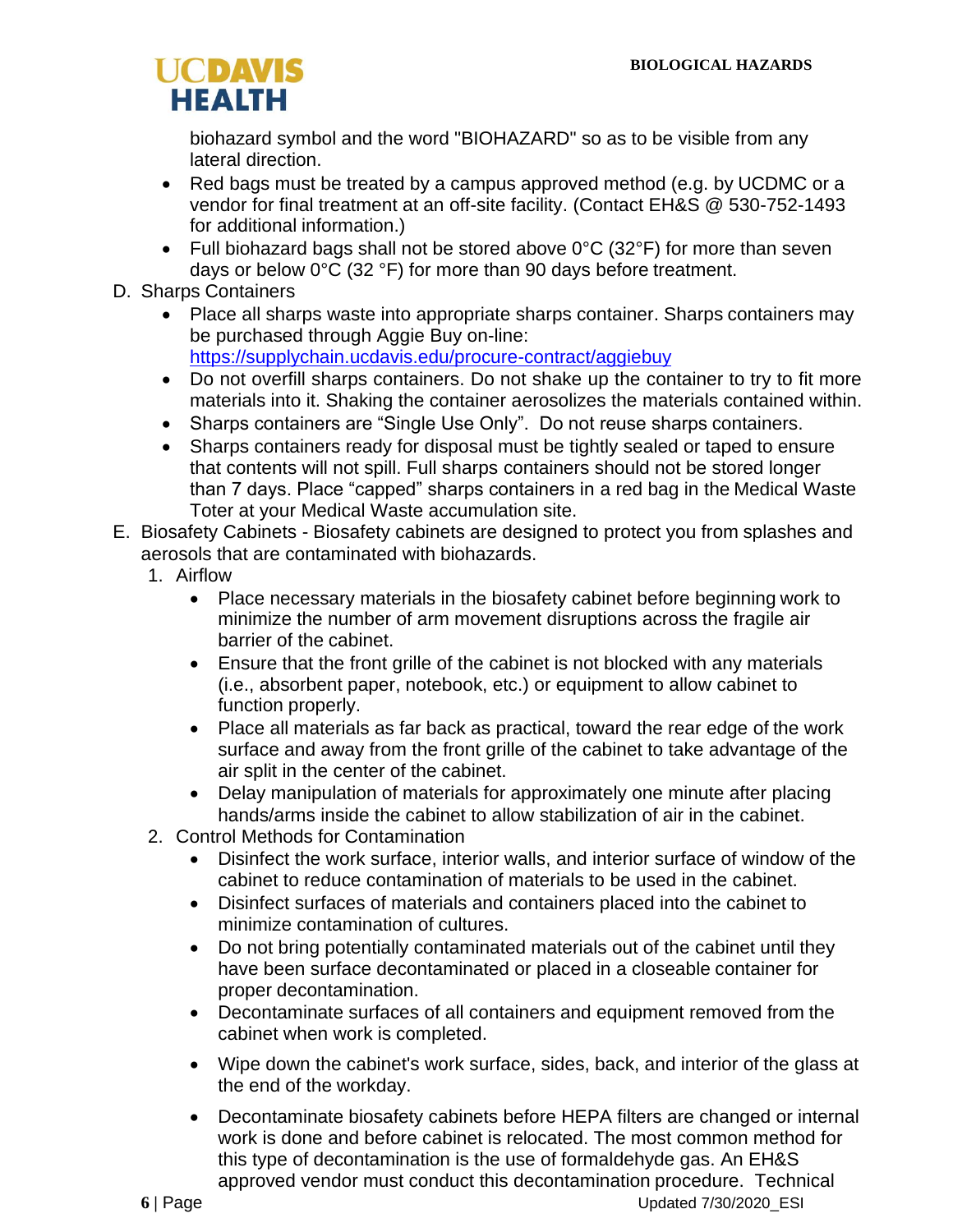

biohazard symbol and the word "BIOHAZARD" so as to be visible from any lateral direction.

- Red bags must be treated by a campus approved method (e.g. by UCDMC or a vendor for final treatment at an off-site facility. (Contact EH&S @ 530-752-1493 for additional information.)
- Full biohazard bags shall not be stored above 0°C (32°F) for more than seven days or below 0°C (32 °F) for more than 90 days before treatment.
- D. Sharps Containers
	- Place all sharps waste into appropriate sharps container. Sharps containers may be purchased through Aggie Buy on-line: <https://supplychain.ucdavis.edu/procure-contract/aggiebuy>
	- Do not overfill sharps containers. Do not shake up the container to try to fit more materials into it. Shaking the container aerosolizes the materials contained within.
	- Sharps containers are "Single Use Only". Do not reuse sharps containers.
	- Sharps containers ready for disposal must be tightly sealed or taped to ensure that contents will not spill. Full sharps containers should not be stored longer than 7 days. Place "capped" sharps containers in a red bag in the Medical Waste Toter at your Medical Waste accumulation site.
- E. Biosafety Cabinets Biosafety cabinets are designed to protect you from splashes and aerosols that are contaminated with biohazards.
	- 1. Airflow
		- Place necessary materials in the biosafety cabinet before beginning work to minimize the number of arm movement disruptions across the fragile air barrier of the cabinet.
		- Ensure that the front grille of the cabinet is not blocked with any materials (i.e., absorbent paper, notebook, etc.) or equipment to allow cabinet to function properly.
		- Place all materials as far back as practical, toward the rear edge of the work surface and away from the front grille of the cabinet to take advantage of the air split in the center of the cabinet.
		- Delay manipulation of materials for approximately one minute after placing hands/arms inside the cabinet to allow stabilization of air in the cabinet.
	- 2. Control Methods for Contamination
		- Disinfect the work surface, interior walls, and interior surface of window of the cabinet to reduce contamination of materials to be used in the cabinet.
		- Disinfect surfaces of materials and containers placed into the cabinet to minimize contamination of cultures.
		- Do not bring potentially contaminated materials out of the cabinet until they have been surface decontaminated or placed in a closeable container for proper decontamination.
		- Decontaminate surfaces of all containers and equipment removed from the cabinet when work is completed.
		- Wipe down the cabinet's work surface, sides, back, and interior of the glass at the end of the workday.
		- Decontaminate biosafety cabinets before HEPA filters are changed or internal work is done and before cabinet is relocated. The most common method for this type of decontamination is the use of formaldehyde gas. An EH&S approved vendor must conduct this decontamination procedure. Technical